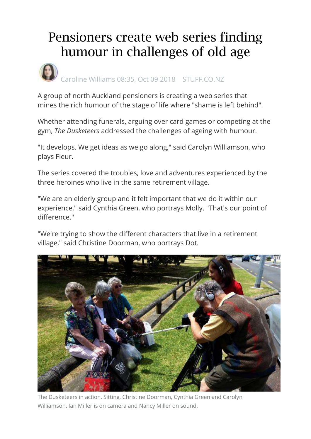## Pensioners create web series finding humour in challenges of old age



A group of north Auckland pensioners is creating a web series that mines the rich humour of the stage of life where "shame is left behind".

Whether attending funerals, arguing over card games or competing at the gym, *The Dusketeers* addressed the challenges of ageing with humour.

"It develops. We get ideas as we go along," said Carolyn Williamson, who plays Fleur.

The series covered the troubles, love and adventures experienced by the three heroines who live in the same retirement village.

"We are an elderly group and it felt important that we do it within our experience," said Cynthia Green, who portrays Molly. "That's our point of difference."

"We're trying to show the different characters that live in a retirement village," said Christine Doorman, who portrays Dot.



The Dusketeers in action. Sitting, Christine Doorman, Cynthia Green and Carolyn Williamson. Ian Miller is on camera and Nancy Miller on sound.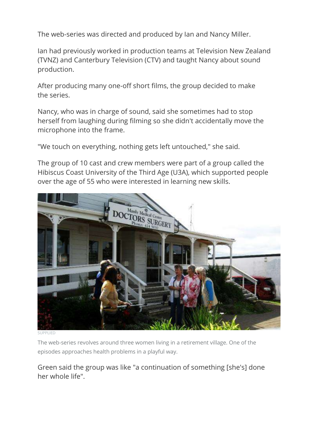The web-series was directed and produced by Ian and Nancy Miller.

Ian had previously worked in production teams at Television New Zealand (TVNZ) and Canterbury Television (CTV) and taught Nancy about sound production.

After producing many one-off short films, the group decided to make the series.

Nancy, who was in charge of sound, said she sometimes had to stop herself from laughing during filming so she didn't accidentally move the microphone into the frame.

"We touch on everything, nothing gets left untouched," she said.

The group of 10 cast and crew members were part of a group called the Hibiscus Coast University of the Third Age (U3A), which supported people over the age of 55 who were interested in learning new skills.



SUPPLIED

The web-series revolves around three women living in a retirement village. One of the episodes approaches health problems in a playful way.

Green said the group was like "a continuation of something [she's] done her whole life".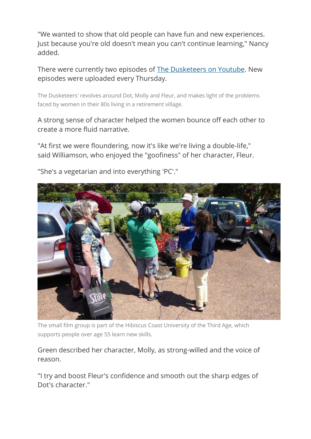"We wanted to show that old people can have fun and new experiences. Just because you're old doesn't mean you can't continue learning," Nancy added.

There were currently two episodes of The Dusketeers [on Youtube.](https://www.youtube.com/channel/UCPRUI5cgAtwWOovBzOkLWhQ) New episodes were uploaded every Thursday.

The Dusketeers' revolves around Dot, Molly and Fleur, and makes light of the problems faced by women in their 80s living in a retirement village.

A strong sense of character helped the women bounce off each other to create a more fluid narrative.

"At first we were floundering, now it's like we're living a double-life," said Williamson, who enjoyed the "goofiness" of her character, Fleur.



"She's a vegetarian and into everything 'PC'."

The small film group is part of the Hibiscus Coast University of the Third Age, which supports people over age 55 learn new skills.

Green described her character, Molly, as strong-willed and the voice of reason.

"I try and boost Fleur's confidence and smooth out the sharp edges of Dot's character."